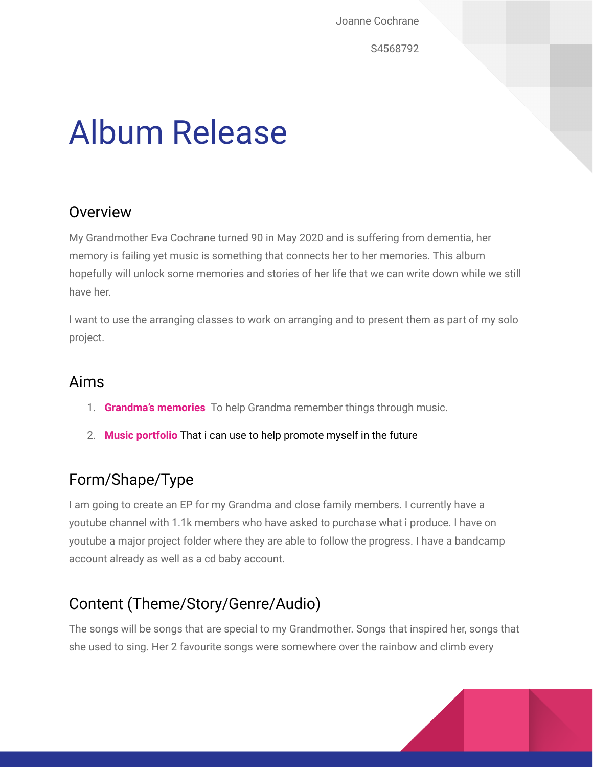Joanne Cochrane

S4568792

# Album Release

## **Overview**

My Grandmother Eva Cochrane turned 90 in May 2020 and is suffering from dementia, her memory is failing yet music is something that connects her to her memories. This album hopefully will unlock some memories and stories of her life that we can write down while we still have her.

I want to use the arranging classes to work on arranging and to present them as part of my solo project.

## Aims

- 1. **Grandma's memories** To help Grandma remember things through music.
- 2. **Music portfolio** That i can use to help promote myself in the future

# Form/Shape/Type

I am going to create an EP for my Grandma and close family members. I currently have a youtube channel with 1.1k members who have asked to purchase what i produce. I have on youtube a major project folder where they are able to follow the progress. I have a bandcamp account already as well as a cd baby account.

# Content (Theme/Story/Genre/Audio)

The songs will be songs that are special to my Grandmother. Songs that inspired her, songs that she used to sing. Her 2 favourite songs were somewhere over the rainbow and climb every

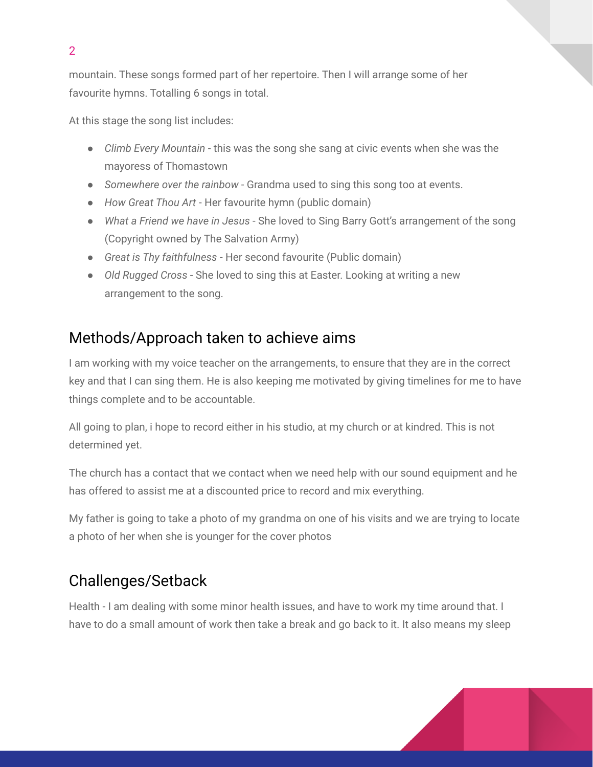mountain. These songs formed part of her repertoire. Then I will arrange some of her favourite hymns. Totalling 6 songs in total.

At this stage the song list includes:

- *Climb Every Mountain* this was the song she sang at civic events when she was the mayoress of Thomastown
- *Somewhere over the rainbow* Grandma used to sing this song too at events.
- *How Great Thou Art* Her favourite hymn (public domain)
- *What a Friend we have in Jesus* She loved to Sing Barry Gott's arrangement of the song (Copyright owned by The Salvation Army)
- *Great is Thy faithfulness* Her second favourite (Public domain)
- *Old Rugged Cross* She loved to sing this at Easter. Looking at writing a new arrangement to the song.

## Methods/Approach taken to achieve aims

I am working with my voice teacher on the arrangements, to ensure that they are in the correct key and that I can sing them. He is also keeping me motivated by giving timelines for me to have things complete and to be accountable.

All going to plan, i hope to record either in his studio, at my church or at kindred. This is not determined yet.

The church has a contact that we contact when we need help with our sound equipment and he has offered to assist me at a discounted price to record and mix everything.

My father is going to take a photo of my grandma on one of his visits and we are trying to locate a photo of her when she is younger for the cover photos

# Challenges/Setback

Health - I am dealing with some minor health issues, and have to work my time around that. I have to do a small amount of work then take a break and go back to it. It also means my sleep

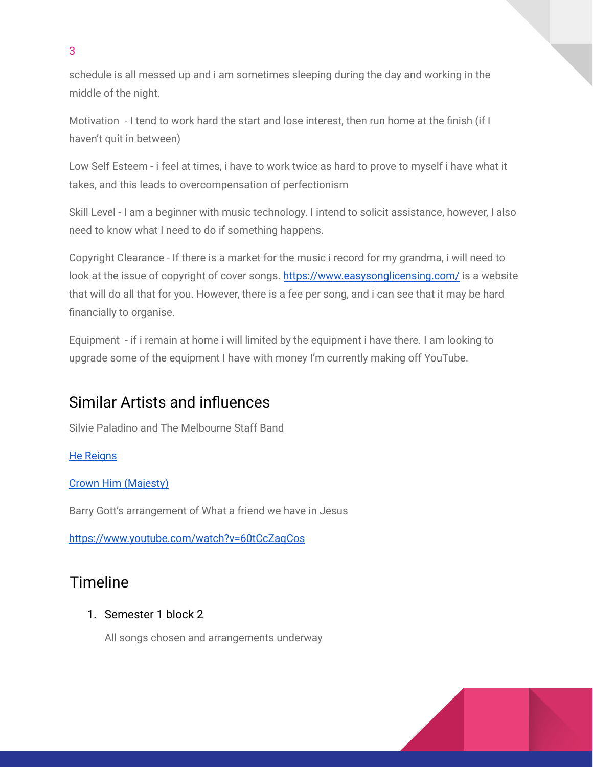schedule is all messed up and i am sometimes sleeping during the day and working in the middle of the night.

Motivation - I tend to work hard the start and lose interest, then run home at the finish (if I haven't quit in between)

Low Self Esteem - i feel at times, i have to work twice as hard to prove to myself i have what it takes, and this leads to overcompensation of perfectionism

Skill Level - I am a beginner with music technology. I intend to solicit assistance, however, I also need to know what I need to do if something happens.

Copyright Clearance - If there is a market for the music i record for my grandma, i will need to look at the issue of copyright of cover songs. <https://www.easysonglicensing.com/> is a website that will do all that for you. However, there is a fee per song, and i can see that it may be hard financially to organise.

Equipment - if i remain at home i will limited by the equipment i have there. I am looking to upgrade some of the equipment I have with money I'm currently making off YouTube.

## Similar Artists and influences

Silvie Paladino and The Melbourne Staff Band

He [Reigns](https://www.youtube.com/watch?v=eGNkIr1878g&list=PLPK7pDnRkwe5nsCLKHOWdudxLTUmiCEXy&index=1)

Crown Him [\(Majesty\)](https://www.youtube.com/watch?v=Oxf4IJQiwMI&list=OLAK5uy_lC6YutA6oJCZXH8MWxJlyxzHqRCs6_7oQ)

Barry Gott's arrangement of What a friend we have in Jesus

<https://www.youtube.com/watch?v=60tCcZaqCos>

## Timeline

### 1. Semester 1 block 2

All songs chosen and arrangements underway



3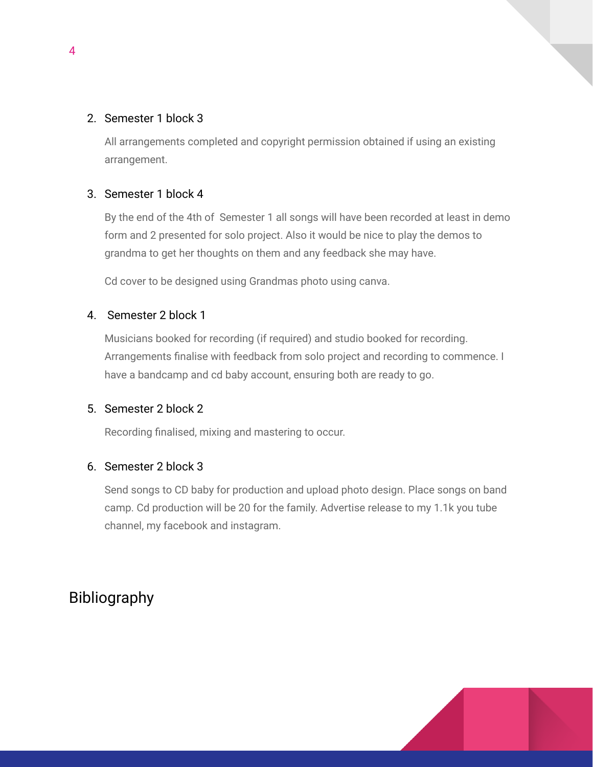#### 2. Semester 1 block 3

All arrangements completed and copyright permission obtained if using an existing arrangement.

#### 3. Semester 1 block 4

By the end of the 4th of Semester 1 all songs will have been recorded at least in demo form and 2 presented for solo project. Also it would be nice to play the demos to grandma to get her thoughts on them and any feedback she may have.

Cd cover to be designed using Grandmas photo using canva.

#### 4. Semester 2 block 1

Musicians booked for recording (if required) and studio booked for recording. Arrangements finalise with feedback from solo project and recording to commence. I have a bandcamp and cd baby account, ensuring both are ready to go.

#### 5. Semester 2 block 2

Recording finalised, mixing and mastering to occur.

#### 6. Semester 2 block 3

Send songs to CD baby for production and upload photo design. Place songs on band camp. Cd production will be 20 for the family. Advertise release to my 1.1k you tube channel, my facebook and instagram.

## Bibliography